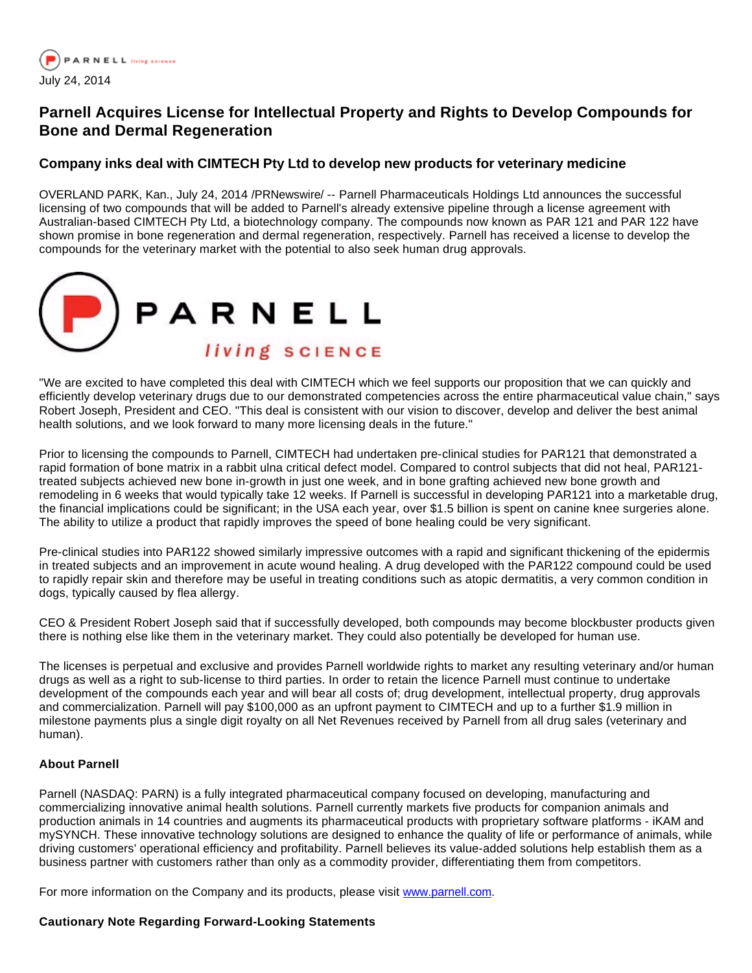

## **Parnell Acquires License for Intellectual Property and Rights to Develop Compounds for Bone and Dermal Regeneration**

## **Company inks deal with CIMTECH Pty Ltd to develop new products for veterinary medicine**

OVERLAND PARK, Kan., July 24, 2014 /PRNewswire/ -- Parnell Pharmaceuticals Holdings Ltd announces the successful licensing of two compounds that will be added to Parnell's already extensive pipeline through a license agreement with Australian-based CIMTECH Pty Ltd, a biotechnology company. The compounds now known as PAR 121 and PAR 122 have shown promise in bone regeneration and dermal regeneration, respectively. Parnell has received a license to develop the compounds for the veterinary market with the potential to also seek human drug approvals.



"We are excited to have completed this deal with CIMTECH which we feel supports our proposition that we can quickly and efficiently develop veterinary drugs due to our demonstrated competencies across the entire pharmaceutical value chain," says Robert Joseph, President and CEO. "This deal is consistent with our vision to discover, develop and deliver the best animal health solutions, and we look forward to many more licensing deals in the future."

Prior to licensing the compounds to Parnell, CIMTECH had undertaken pre-clinical studies for PAR121 that demonstrated a rapid formation of bone matrix in a rabbit ulna critical defect model. Compared to control subjects that did not heal, PAR121 treated subjects achieved new bone in-growth in just one week, and in bone grafting achieved new bone growth and remodeling in 6 weeks that would typically take 12 weeks. If Parnell is successful in developing PAR121 into a marketable drug, the financial implications could be significant; in the USA each year, over \$1.5 billion is spent on canine knee surgeries alone. The ability to utilize a product that rapidly improves the speed of bone healing could be very significant.

Pre-clinical studies into PAR122 showed similarly impressive outcomes with a rapid and significant thickening of the epidermis in treated subjects and an improvement in acute wound healing. A drug developed with the PAR122 compound could be used to rapidly repair skin and therefore may be useful in treating conditions such as atopic dermatitis, a very common condition in dogs, typically caused by flea allergy.

CEO & President Robert Joseph said that if successfully developed, both compounds may become blockbuster products given there is nothing else like them in the veterinary market. They could also potentially be developed for human use.

The licenses is perpetual and exclusive and provides Parnell worldwide rights to market any resulting veterinary and/or human drugs as well as a right to sub-license to third parties. In order to retain the licence Parnell must continue to undertake development of the compounds each year and will bear all costs of; drug development, intellectual property, drug approvals and commercialization. Parnell will pay \$100,000 as an upfront payment to CIMTECH and up to a further \$1.9 million in milestone payments plus a single digit royalty on all Net Revenues received by Parnell from all drug sales (veterinary and human).

## **About Parnell**

Parnell (NASDAQ: PARN) is a fully integrated pharmaceutical company focused on developing, manufacturing and commercializing innovative animal health solutions. Parnell currently markets five products for companion animals and production animals in 14 countries and augments its pharmaceutical products with proprietary software platforms - iKAM and mySYNCH. These innovative technology solutions are designed to enhance the quality of life or performance of animals, while driving customers' operational efficiency and profitability. Parnell believes its value-added solutions help establish them as a business partner with customers rather than only as a commodity provider, differentiating them from competitors.

For more information on the Company and its products, please visit [www.parnell.com](http://www.parnell.com/).

## **Cautionary Note Regarding Forward-Looking Statements**